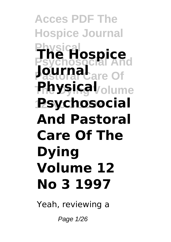# **Acces PDF The Hospice Journal Physical Psychosocial And The Hospice Pastoral** Care Of **The Dying Volume Physical 12 No 3 1997 Psychosocial And Pastoral Care Of The Dying Volume 12 No 3 1997**

Yeah, reviewing a

Page 1/26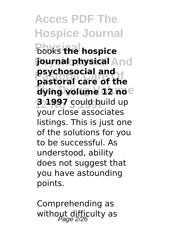**Acces PDF The Hospice Journal Physical** books **the hospice Journal physical And Pastoral Care Of pastoral care of the The Dying Volume dying volume 12 no 12 No 3 1997 3 1997** could build up **psychosocial and** your close associates listings. This is just one of the solutions for you to be successful. As understood, ability does not suggest that you have astounding points.

Comprehending as without difficulty as<br> $P_{\text{age}}$  2/26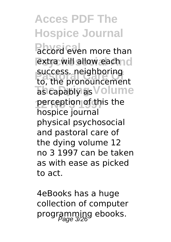**Physical even more than Pextra will allow each nd** success. neighboring<br>to, the pronouncement **The Capably as Volume** perception of this the success. neighboring hospice journal physical psychosocial and pastoral care of the dying volume 12 no 3 1997 can be taken as with ease as picked to act.

4eBooks has a huge collection of computer programming ebooks.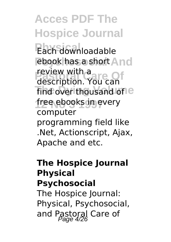Each downloadable **ebook has a short And Preview with a**<br>description. You can find over thousand of e **12 No 3 1997** free ebooks in every review with a computer programming field like .Net, Actionscript, Ajax, Apache and etc.

#### **The Hospice Journal Physical Psychosocial**

The Hospice Journal: Physical, Psychosocial, and Pastoral Care of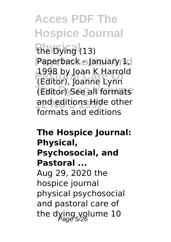the Dying (13) **Psychosocial And** Paperback – January 1, **Pastoral Care Of** (Editor), Joanne Lynn (Editor) See all formats and editions Hide other 1998 by Joan K Harrold formats and editions

### **The Hospice Journal: Physical, Psychosocial, and Pastoral ...** Aug 29, 2020 the hospice journal physical psychosocial and pastoral care of the dying volume  $10$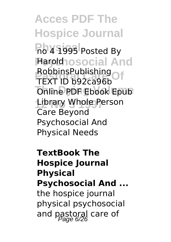**Acces PDF The Hospice Journal Physical** no 4 1995 Posted By **Haroldhosocial And RobbinsPublishing** *<u>Online PDF Ebook</u>* Epub Library Whole Person TEXT ID b92ca96b Care Beyond Psychosocial And Physical Needs

**TextBook The Hospice Journal Physical Psychosocial And ...** the hospice journal physical psychosocial and pastoral care of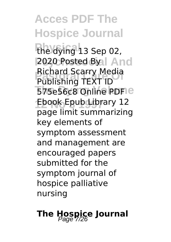the dying 13 Sep 02, **2020 Posted Byal And Pastoral Care Of** Publishing TEXT ID 575e56c8 Online PDFIe **12 No 3 1997** Ebook Epub Library 12 Richard Scarry Media page limit summarizing key elements of symptom assessment and management are encouraged papers submitted for the symptom journal of hospice palliative nursing

## **The Hospice Journal**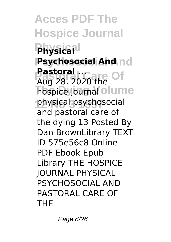**Acces PDF The Hospice Journal Physical Physical Psychosocial And Psychosocial And Pastoral ...**<br>Alla 28 20201-8 Of **hospice** journal olume **12 No 3 1997** physical psychosocial Aug 28, 2020 the and pastoral care of the dying 13 Posted By Dan BrownLibrary TEXT ID 575e56c8 Online PDF Ebook Epub Library THE HOSPICE JOURNAL PHYSICAL PSYCHOSOCIAL AND PASTORAL CARE OF THE

Page 8/26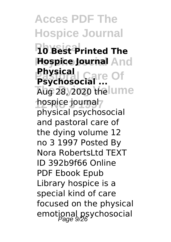**Acces PDF The Hospice Journal Physical 10 Best Printed The Hospice Journal And Pastoral Care Of Psychosocial ... Aug 28, 2020 the lume 12 No 3 1997** hospice journal **Physical** physical psychosocial and pastoral care of the dying volume 12 no 3 1997 Posted By Nora RobertsLtd TEXT ID 392b9f66 Online PDF Ebook Epub Library hospice is a special kind of care focused on the physical emotional psychosocial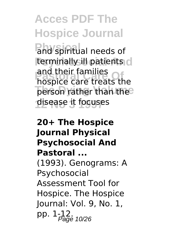**Physical** and spiritual needs of **terminally ill patients** d and their ramilies<br>hospice care treats the **person rather than the 12 No 3 1997** disease it focuses and their families

### **20+ The Hospice Journal Physical Psychosocial And Pastoral ...** (1993). Genograms: A Psychosocial Assessment Tool for Hospice. The Hospice Journal: Vol. 9, No. 1, pp. 1-12.<br>Page 10/26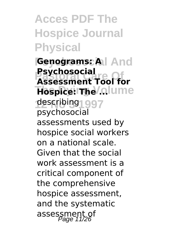**Acces PDF The Hospice Journal Physical**

**Psychosocial And Genograms: A Pastoral Care Of Assessment Tool for Hospice: The ...**lume **12 No 3 1997** describing **Psychosocial** psychosocial assessments used by hospice social workers on a national scale. Given that the social work assessment is a critical component of the comprehensive hospice assessment, and the systematic assessment of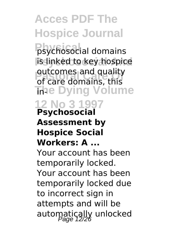**Physical** psychosocial domains **is linked to key hospice Pastoral Care Of** of care domains, this **The Dying Volume 12 No 3 1997** outcomes and quality

#### **Psychosocial Assessment by Hospice Social Workers: A ...**

Your account has been temporarily locked. Your account has been temporarily locked due to incorrect sign in attempts and will be automatically unlocked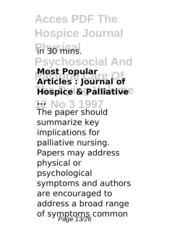**Acces PDF The Hospice Journal Physical** in 30 mins. **Psychosocial And Pastoral Care Of Articles : Journal of Hospice & Palliative 12 No 3 1997 ... Most Popular** The paper should summarize key implications for palliative nursing. Papers may address physical or psychological symptoms and authors are encouraged to address a broad range of symptoms common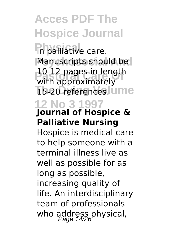**Physical palliative care. Manuscripts should be Pastoral Care Of** with approximately **15-20 references** lume 10-12 pages in length

#### **12 No 3 1997 Journal of Hospice & Palliative Nursing**

Hospice is medical care to help someone with a terminal illness live as well as possible for as long as possible, increasing quality of life. An interdisciplinary team of professionals who address physical,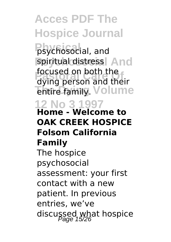**Physical** psychosocial, and spiritual distress<sup>|</sup> And **Pastoral Care Of** dying person and their **Thure family.** Volume focused on both the

#### **12 No 3 1997 Home - Welcome to OAK CREEK HOSPICE Folsom California Family**

The hospice psychosocial assessment: your first contact with a new patient. In previous entries, we've discussed what hospice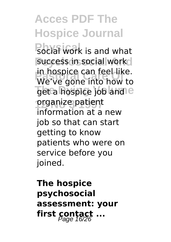**Physical work is and what** success in social work **Pastoral Care Of** We've gone into how to get a hospice job and e **12 No 3 1997** organize patient in hospice can feel like. information at a new job so that can start getting to know patients who were on service before you joined.

**The hospice psychosocial assessment: your first contact ...**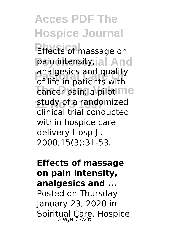**Effects of massage on** pain intensity, al And **Pastoral Care Of** of life in patients with **Tancer pain: a pilot me 12 No 3 1997** study of a randomized analgesics and quality clinical trial conducted within hospice care delivery Hosp J . 2000;15(3):31-53.

### **Effects of massage on pain intensity, analgesics and ...** Posted on Thursday January 23, 2020 in Spiritual Care, Hospice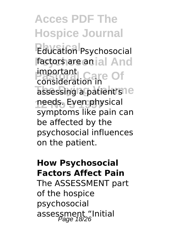**Education Psychosocial Factors are an ial And** important<br>consideration to Of assessing a patient's<sup>ne</sup> **12 No 3 1997** needs. Even physical consideration in symptoms like pain can be affected by the psychosocial influences on the patient.

### **How Psychosocial Factors Affect Pain** The ASSESSMENT part of the hospice psychosocial assessment "Initial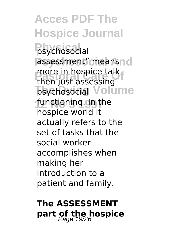**Acces PDF The Hospice Journal Physical** psychosocial assessment" meansnd more in hospice talk<br>then just assessing **The Division Sychosocial** Volume functioning.dn<sub>the</sub> then just assessing hospice world it actually refers to the set of tasks that the social worker accomplishes when making her introduction to a patient and family.

### **The ASSESSMENT part of the hospice**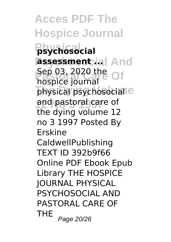**Acces PDF The Hospice Journal Physical psychosocial assessment ial And Pastoral Care Of** physical psychosocial<sup>e</sup> and pastoral care of hospice journal the dying volume 12 no 3 1997 Posted By Erskine CaldwellPublishing TEXT ID 392b9f66 Online PDF Ebook Epub Library THE HOSPICE JOURNAL PHYSICAL PSYCHOSOCIAL AND PASTORAL CARE OF THE  $_{Page\ 20/26}$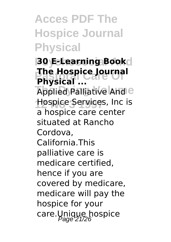### **Acces PDF The Hospice Journal Physical**

**Psychosocial And 30 E-Learning Book Pastoral Care Of The Hospice Journal Applied Palliative And C 12 No 3 1997** Hospice Services, Inc is **Physical ...** a hospice care center situated at Rancho Cordova, California.This palliative care is medicare certified, hence if you are covered by medicare, medicare will pay the hospice for your care.Unique hospice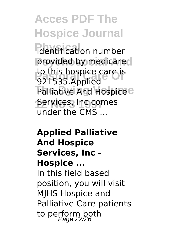**Printification number** provided by medicare **Participal Care is**<br>1921535 Applied Palliative And Hospice<sup>e</sup> **Services, Inc comes** 921535.Applied under the CMS ...

### **Applied Palliative And Hospice Services, Inc - Hospice ...** In this field based position, you will visit MJHS Hospice and Palliative Care patients to perform both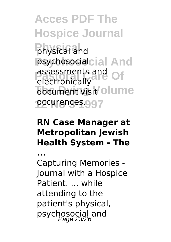**Acces PDF The Hospice Journal Physical** physical and **Psychosocial And** psychosocial **Passessments and Of** document visit olume **12 No 3 1997** occurences. electronically

### **RN Case Manager at Metropolitan Jewish Health System - The**

**...** Capturing Memories - Journal with a Hospice Patient while attending to the patient's physical, psychosocial and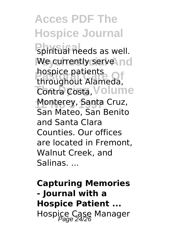**Physical needs as well. We currently serve nd Proprice patients**<br>throughout Alameda, **Contra Costa, Volume Monterey, Santa Cruz,** hospice patients San Mateo, San Benito and Santa Clara Counties. Our offices are located in Fremont, Walnut Creek, and Salinas. ...

**Capturing Memories - Journal with a Hospice Patient ...** Hospice Case Manager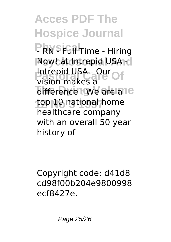**PRNSFull Time - Hiring Now! at Intrepid USA** -**Participal USA - Our Of** difference : We are ane top 10 national home vision makes a healthcare company with an overall 50 year history of

Copyright code: d41d8 cd98f00b204e9800998 ecf8427e.